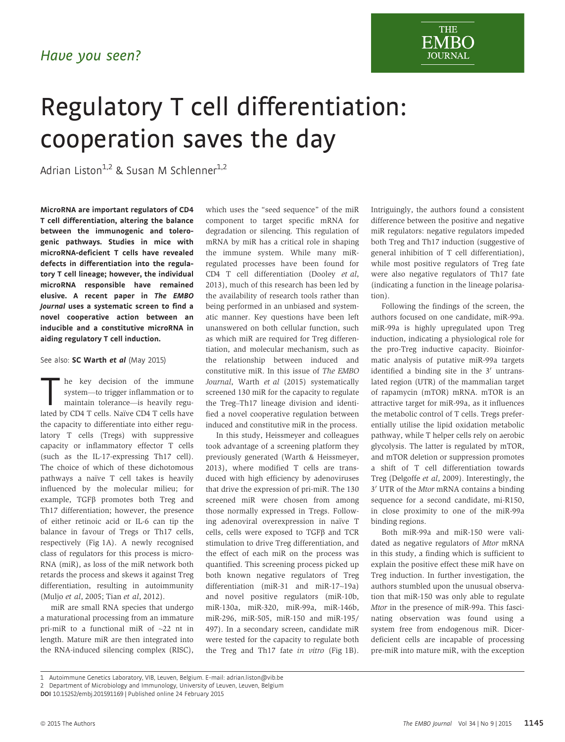

## Regulatory T cell differentiation: cooperation saves the day

Adrian Liston<sup>1,2</sup> & Susan M Schlenner<sup>1,2</sup>

MicroRNA are important regulators of CD4 T cell differentiation, altering the balance between the immunogenic and tolerogenic pathways. Studies in mice with microRNA-deficient T cells have revealed defects in differentiation into the regulatory T cell lineage; however, the individual microRNA responsible have remained elusive. A recent paper in The EMBO Journal uses a systematic screen to find a novel cooperative action between an inducible and a constitutive microRNA in aiding regulatory T cell induction.

## See also: [SC Warth](http://dx.doi.org/10.15252/embj.201489589) et al (May 2015)

he key decision of the immune system—to trigger inflammation or to maintain tolerance—is heavily regulated by CD4 T cells. Naïve CD4 T cells have the capacity to differentiate into either regulatory T cells (Tregs) with suppressive capacity or inflammatory effector T cells (such as the IL-17-expressing Th17 cell). The choice of which of these dichotomous pathways a naïve T cell takes is heavily influenced by the molecular milieu; for example,  $TGF\beta$  promotes both Treg and Th17 differentiation; however, the presence of either retinoic acid or IL-6 can tip the balance in favour of Tregs or Th17 cells, respectively (Fig 1A). A newly recognised class of regulators for this process is micro-RNA (miR), as loss of the miR network both retards the process and skews it against Treg differentiation, resulting in autoimmunity (Muljo et al, 2005; Tian et al, 2012).

miR are small RNA species that undergo a maturational processing from an immature pri-miR to a functional miR of ~22 nt in length. Mature miR are then integrated into the RNA-induced silencing complex (RISC), which uses the "seed sequence" of the miR component to target specific mRNA for degradation or silencing. This regulation of mRNA by miR has a critical role in shaping the immune system. While many miRregulated processes have been found for CD4 T cell differentiation (Dooley et al, 2013), much of this research has been led by the availability of research tools rather than being performed in an unbiased and systematic manner. Key questions have been left unanswered on both cellular function, such as which miR are required for Treg differentiation, and molecular mechanism, such as the relationship between induced and constitutive miR. In this issue of The EMBO Journal, Warth et al (2015) systematically screened 130 miR for the capacity to regulate the Treg–Th17 lineage division and identified a novel cooperative regulation between induced and constitutive miR in the process.

In this study, Heissmeyer and colleagues took advantage of a screening platform they previously generated (Warth & Heissmeyer, 2013), where modified T cells are transduced with high efficiency by adenoviruses that drive the expression of pri-miR. The 130 screened miR were chosen from among those normally expressed in Tregs. Following adenoviral overexpression in naïve T cells, cells were exposed to  $TGF\beta$  and  $TCR$ stimulation to drive Treg differentiation, and the effect of each miR on the process was quantified. This screening process picked up both known negative regulators of Treg differentiation (miR-31 and miR-17~19a) and novel positive regulators (miR-10b, miR-130a, miR-320, miR-99a, miR-146b, miR-296, miR-505, miR-150 and miR-195/ 497). In a secondary screen, candidate miR were tested for the capacity to regulate both the Treg and Th17 fate in vitro (Fig 1B). Intriguingly, the authors found a consistent difference between the positive and negative miR regulators: negative regulators impeded both Treg and Th17 induction (suggestive of general inhibition of T cell differentiation), while most positive regulators of Treg fate were also negative regulators of Th17 fate (indicating a function in the lineage polarisation).

Following the findings of the screen, the authors focused on one candidate, miR-99a. miR-99a is highly upregulated upon Treg induction, indicating a physiological role for the pro-Treg inductive capacity. Bioinformatic analysis of putative miR-99a targets identified a binding site in the  $3'$  untranslated region (UTR) of the mammalian target of rapamycin (mTOR) mRNA. mTOR is an attractive target for miR-99a, as it influences the metabolic control of T cells. Tregs preferentially utilise the lipid oxidation metabolic pathway, while T helper cells rely on aerobic glycolysis. The latter is regulated by mTOR, and mTOR deletion or suppression promotes a shift of T cell differentiation towards Treg (Delgoffe et al, 2009). Interestingly, the 3' UTR of the Mtor mRNA contains a binding sequence for a second candidate, mi-R150, in close proximity to one of the miR-99a binding regions.

Both miR-99a and miR-150 were validated as negative regulators of Mtor mRNA in this study, a finding which is sufficient to explain the positive effect these miR have on Treg induction. In further investigation, the authors stumbled upon the unusual observation that miR-150 was only able to regulate Mtor in the presence of miR-99a. This fascinating observation was found using a system free from endogenous miR. Dicerdeficient cells are incapable of processing pre-miR into mature miR, with the exception

<sup>1</sup> Autoimmune Genetics Laboratory, VIB, Leuven, Belgium. E-mail: adrian.liston@vib.be

<sup>2</sup> Department of Microbiology and Immunology, University of Leuven, Leuven, Belgium

DOI 10.15252/embj.201591169 | Published online 24 February 2015